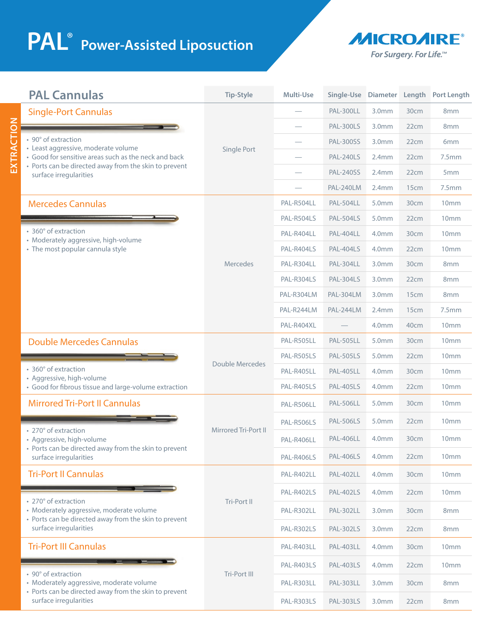## **PAL**<sup>®</sup> Power-Assisted Liposuction

**EXTRACTION**

EXTRACTION



| <b>PAL Cannulas</b>                                                                                                                                                                                                                  | <b>Tip-Style</b>       | Multi-Use  |                  |                   |      | Single-Use Diameter Length Port Length |
|--------------------------------------------------------------------------------------------------------------------------------------------------------------------------------------------------------------------------------------|------------------------|------------|------------------|-------------------|------|----------------------------------------|
| <b>Single-Port Cannulas</b><br>• 90° of extraction<br>• Least aggressive, moderate volume<br>• Good for sensitive areas such as the neck and back<br>• Ports can be directed away from the skin to prevent<br>surface irregularities | Single Port            |            | PAL-300LL        | 3.0 <sub>mm</sub> | 30cm | 8mm                                    |
|                                                                                                                                                                                                                                      |                        |            | <b>PAL-300LS</b> | 3.0 <sub>mm</sub> | 22cm | 8 <sub>mm</sub>                        |
|                                                                                                                                                                                                                                      |                        |            | <b>PAL-300SS</b> | 3.0 <sub>mm</sub> | 22cm | 6 <sub>mm</sub>                        |
|                                                                                                                                                                                                                                      |                        |            | <b>PAL-240LS</b> | 2.4mm             | 22cm | 7.5mm                                  |
|                                                                                                                                                                                                                                      |                        |            | <b>PAL-240SS</b> | 2.4mm             | 22cm | 5 <sub>mm</sub>                        |
|                                                                                                                                                                                                                                      |                        |            | PAL-240LM        | 2.4mm             | 15cm | 7.5mm                                  |
| <b>Mercedes Cannulas</b>                                                                                                                                                                                                             | Mercedes               | PAL-R504LL | PAL-504LL        | 5.0mm             | 30cm | 10mm                                   |
| • 360° of extraction<br>• Moderately aggressive, high-volume<br>• The most popular cannula style                                                                                                                                     |                        | PAL-R504LS | <b>PAL-504LS</b> | 5.0mm             | 22cm | 10 <sub>mm</sub>                       |
|                                                                                                                                                                                                                                      |                        | PAL-R404LL | PAL-404LL        | 4.0 <sub>mm</sub> | 30cm | 10 <sub>mm</sub>                       |
|                                                                                                                                                                                                                                      |                        | PAL-R404LS | <b>PAL-404LS</b> | 4.0mm             | 22cm | 10mm                                   |
|                                                                                                                                                                                                                                      |                        | PAL-R304LL | <b>PAL-304LL</b> | 3.0 <sub>mm</sub> | 30cm | 8 <sub>mm</sub>                        |
|                                                                                                                                                                                                                                      |                        | PAL-R304LS | <b>PAL-304LS</b> | 3.0 <sub>mm</sub> | 22cm | 8 <sub>mm</sub>                        |
|                                                                                                                                                                                                                                      |                        | PAL-R304LM | <b>PAL-304LM</b> | 3.0 <sub>mm</sub> | 15cm | 8mm                                    |
|                                                                                                                                                                                                                                      |                        | PAL-R244LM | PAL-244LM        | 2.4mm             | 15cm | 7.5mm                                  |
|                                                                                                                                                                                                                                      |                        | PAL-R404XL |                  | 4.0 <sub>mm</sub> | 40cm | 10 <sub>mm</sub>                       |
| <b>Double Mercedes Cannulas</b>                                                                                                                                                                                                      | <b>Double Mercedes</b> | PAL-R505LL | <b>PAL-505LL</b> | 5.0mm             | 30cm | 10mm                                   |
| • 360° of extraction<br>• Aggressive, high-volume<br>• Good for fibrous tissue and large-volume extraction                                                                                                                           |                        | PAL-R505LS | <b>PAL-505LS</b> | 5.0 <sub>mm</sub> | 22cm | 10 <sub>mm</sub>                       |
|                                                                                                                                                                                                                                      |                        | PAL-R405LL | <b>PAL-405LL</b> | 4.0 <sub>mm</sub> | 30cm | 10 <sub>mm</sub>                       |
|                                                                                                                                                                                                                                      |                        | PAL-R405LS | <b>PAL-405LS</b> | 4.0mm             | 22cm | 10mm                                   |
| <b>Mirrored Tri-Port II Cannulas</b>                                                                                                                                                                                                 |                        | PAL-R506LL | <b>PAL-506LL</b> | 5.0mm             | 30cm | 10mm                                   |
|                                                                                                                                                                                                                                      | Mirrored Tri-Port II   | PAL-R506LS | <b>PAL-506LS</b> | 5.0 <sub>mm</sub> | 22cm | 10 <sub>mm</sub>                       |
| • 270° of extraction<br>· Aggressive, high-volume<br>• Ports can be directed away from the skin to prevent<br>surface irregularities                                                                                                 |                        | PAL-R406LL | <b>PAL-406LL</b> | 4.0 <sub>mm</sub> | 30cm | 10 <sub>mm</sub>                       |
|                                                                                                                                                                                                                                      |                        | PAL-R406LS | <b>PAL-406LS</b> | 4.0mm             | 22cm | 10 <sub>mm</sub>                       |
| <b>Tri-Port II Cannulas</b>                                                                                                                                                                                                          | Tri-Port II            | PAL-R402LL | <b>PAL-402LL</b> | 4.0mm             | 30cm | 10 <sub>mm</sub>                       |
| • 270° of extraction<br>· Moderately aggressive, moderate volume<br>• Ports can be directed away from the skin to prevent<br>surface irregularities                                                                                  |                        | PAL-R402LS | <b>PAL-402LS</b> | 4.0 <sub>mm</sub> | 22cm | 10mm                                   |
|                                                                                                                                                                                                                                      |                        | PAL-R302LL | <b>PAL-302LL</b> | 3.0 <sub>mm</sub> | 30cm | 8 <sub>mm</sub>                        |
|                                                                                                                                                                                                                                      |                        | PAL-R302LS | <b>PAL-302LS</b> | 3.0 <sub>mm</sub> | 22cm | 8 <sub>mm</sub>                        |
| <b>Tri-Port III Cannulas</b>                                                                                                                                                                                                         | Tri-Port III           | PAL-R403LL | <b>PAL-403LL</b> | 4.0 <sub>mm</sub> | 30cm | 10 <sub>mm</sub>                       |
| • 90° of extraction<br>· Moderately aggressive, moderate volume<br>• Ports can be directed away from the skin to prevent<br>surface irregularities                                                                                   |                        | PAL-R403LS | <b>PAL-403LS</b> | 4.0 <sub>mm</sub> | 22cm | 10 <sub>mm</sub>                       |
|                                                                                                                                                                                                                                      |                        | PAL-R303LL | <b>PAL-303LL</b> | 3.0 <sub>mm</sub> | 30cm | 8 <sub>mm</sub>                        |
|                                                                                                                                                                                                                                      |                        | PAL-R303LS | <b>PAL-303LS</b> | 3.0 <sub>mm</sub> | 22cm | 8mm                                    |